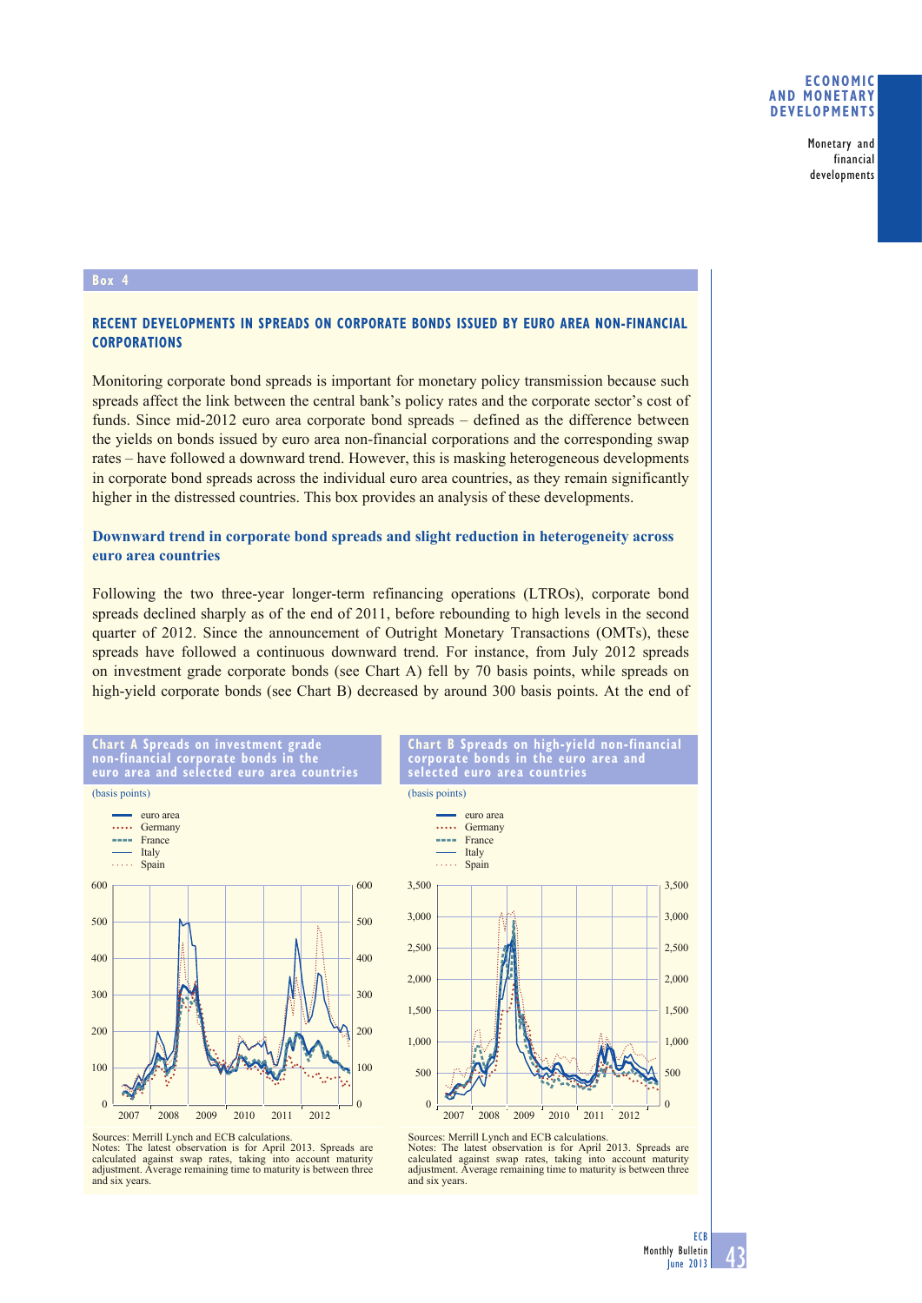### **ECONOMIC AND MONETARY DEVELOPMENTS**

Monetary and financial developments

#### **Box 4**

# **RECENT DEVELOPMENTS IN SPREADS ON CORPORATE BONDS ISSUED BY EURO AREA NON-FINANCIAL CORPORATIONS**

Monitoring corporate bond spreads is important for monetary policy transmission because such spreads affect the link between the central bank's policy rates and the corporate sector's cost of funds. Since mid-2012 euro area corporate bond spreads – defined as the difference between the yields on bonds issued by euro area non-financial corporations and the corresponding swap rates – have followed a downward trend. However, this is masking heterogeneous developments in corporate bond spreads across the individual euro area countries, as they remain significantly higher in the distressed countries. This box provides an analysis of these developments.

# **Downward trend in corporate bond spreads and slight reduction in heterogeneity across euro area countries**

Following the two three-year longer-term refinancing operations (LTROs), corporate bond spreads declined sharply as of the end of 2011, before rebounding to high levels in the second quarter of 2012. Since the announcement of Outright Monetary Transactions (OMTs), these spreads have followed a continuous downward trend. For instance, from July 2012 spreads on investment grade corporate bonds (see Chart A) fell by 70 basis points, while spreads on high-yield corporate bonds (see Chart B) decreased by around 300 basis points. At the end of



**Chart A Spreads on investment grade** 

Sources: Merrill Lynch and ECB calculations. Notes: The latest observation is for April 2013. Spreads are calculated against swap rates, taking into account maturity adjustment. Average remaining time to maturity is between three and six years.



**Chart B Spreads on high-yield non-financial corporate bonds in the euro area and** 

2007 2008 2009 2010 2011 2012 Sources: Merrill Lynch and ECB calculations. Notes: The latest observation is for April 2013. Spreads are calculated against swap rates, taking into account maturity adjustment. Average remaining time to maturity is between three and six years.

0

 $\theta$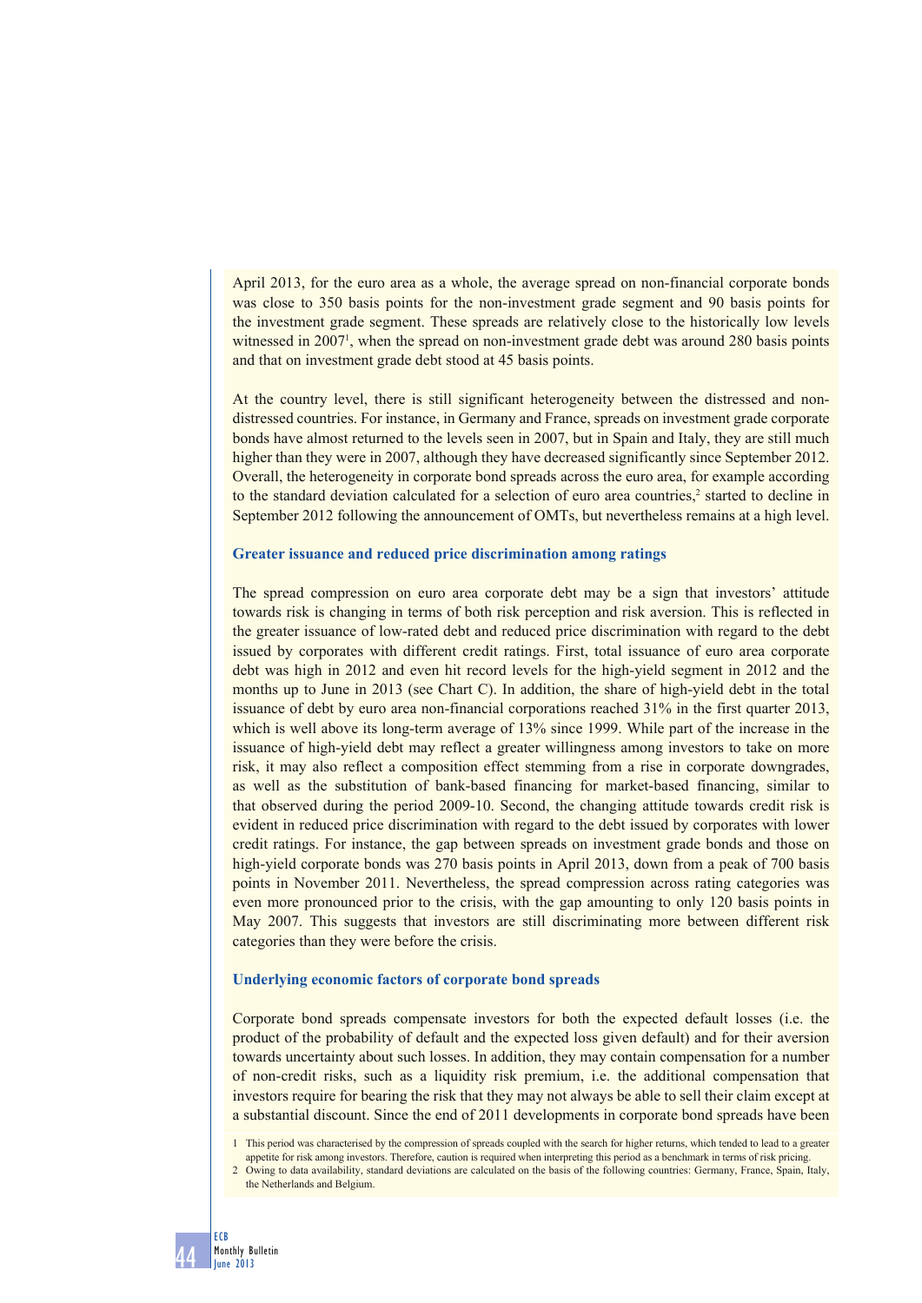April 2013, for the euro area as a whole, the average spread on non-financial corporate bonds was close to 350 basis points for the non-investment grade segment and 90 basis points for the investment grade segment. These spreads are relatively close to the historically low levels witnessed in 2007<sup>1</sup>, when the spread on non-investment grade debt was around 280 basis points and that on investment grade debt stood at 45 basis points.

At the country level, there is still significant heterogeneity between the distressed and nondistressed countries. For instance, in Germany and France, spreads on investment grade corporate bonds have almost returned to the levels seen in 2007, but in Spain and Italy, they are still much higher than they were in 2007, although they have decreased significantly since September 2012. Overall, the heterogeneity in corporate bond spreads across the euro area, for example according to the standard deviation calculated for a selection of euro area countries, $\frac{2}{3}$  started to decline in September 2012 following the announcement of OMTs, but nevertheless remains at a high level.

### **Greater issuance and reduced price discrimination among ratings**

The spread compression on euro area corporate debt may be a sign that investors' attitude towards risk is changing in terms of both risk perception and risk aversion. This is reflected in the greater issuance of low-rated debt and reduced price discrimination with regard to the debt issued by corporates with different credit ratings. First, total issuance of euro area corporate debt was high in 2012 and even hit record levels for the high-yield segment in 2012 and the months up to June in 2013 (see Chart C). In addition, the share of high-yield debt in the total issuance of debt by euro area non-financial corporations reached 31% in the first quarter 2013, which is well above its long-term average of 13% since 1999. While part of the increase in the issuance of high-yield debt may reflect a greater willingness among investors to take on more risk, it may also reflect a composition effect stemming from a rise in corporate downgrades, as well as the substitution of bank-based financing for market-based financing, similar to that observed during the period 2009-10. Second, the changing attitude towards credit risk is evident in reduced price discrimination with regard to the debt issued by corporates with lower credit ratings. For instance, the gap between spreads on investment grade bonds and those on high-yield corporate bonds was 270 basis points in April 2013, down from a peak of 700 basis points in November 2011. Nevertheless, the spread compression across rating categories was even more pronounced prior to the crisis, with the gap amounting to only 120 basis points in May 2007. This suggests that investors are still discriminating more between different risk categories than they were before the crisis.

#### **Underlying economic factors of corporate bond spreads**

Corporate bond spreads compensate investors for both the expected default losses (i.e. the product of the probability of default and the expected loss given default) and for their aversion towards uncertainty about such losses. In addition, they may contain compensation for a number of non-credit risks, such as a liquidity risk premium, i.e. the additional compensation that investors require for bearing the risk that they may not always be able to sell their claim except at a substantial discount. Since the end of 2011 developments in corporate bond spreads have been

<sup>1</sup> This period was characterised by the compression of spreads coupled with the search for higher returns, which tended to lead to a greater appetite for risk among investors. Therefore, caution is required when interpreting this period as a benchmark in terms of risk pricing.

<sup>2</sup> Owing to data availability, standard deviations are calculated on the basis of the following countries: Germany, France, Spain, Italy, the Netherlands and Belgium.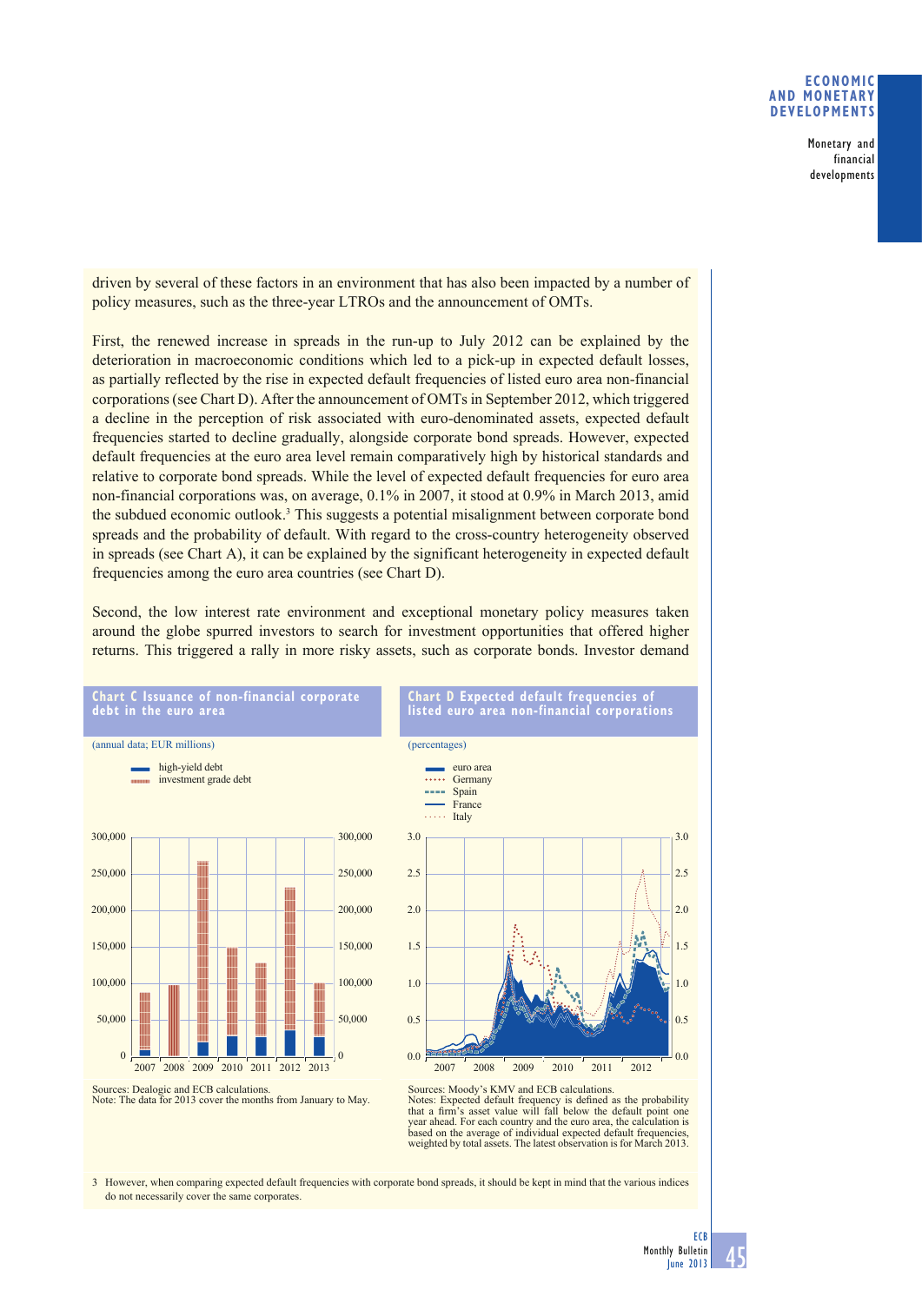## **ECONOMIC AND MONETARY DEVELOPMENTS**

Monetary and financial developments

driven by several of these factors in an environment that has also been impacted by a number of policy measures, such as the three-year LTROs and the announcement of OMTs.

First, the renewed increase in spreads in the run-up to July 2012 can be explained by the deterioration in macroeconomic conditions which led to a pick-up in expected default losses, as partially reflected by the rise in expected default frequencies of listed euro area non-financial corporations (see Chart D). After the announcement of OMTs in September 2012, which triggered a decline in the perception of risk associated with euro-denominated assets, expected default frequencies started to decline gradually, alongside corporate bond spreads. However, expected default frequencies at the euro area level remain comparatively high by historical standards and relative to corporate bond spreads. While the level of expected default frequencies for euro area non-financial corporations was, on average, 0.1% in 2007, it stood at 0.9% in March 2013, amid the subdued economic outlook.<sup>3</sup> This suggests a potential misalignment between corporate bond spreads and the probability of default. With regard to the cross-country heterogeneity observed in spreads (see Chart A), it can be explained by the significant heterogeneity in expected default frequencies among the euro area countries (see Chart D).

Second, the low interest rate environment and exceptional monetary policy measures taken around the globe spurred investors to search for investment opportunities that offered higher returns. This triggered a rally in more risky assets, such as corporate bonds. Investor demand



Sources: Moody's KMV and ECB calculations.<br>Notes: Expected default frequency is defined as the probability that a firm's asset value will fall below the default point one year ahead. For each country and the euro area, the calculation is based on the average of individual expected default frequencies weighted by total assets. The latest observation is for March 2013.

3 However, when comparing expected default frequencies with corporate bond spreads, it should be kept in mind that the various indices do not necessarily cover the same corporates.



 $0<sup>0</sup>$ 

 $0.5$ 

1.0

1.5

2.0

2.5

3.0